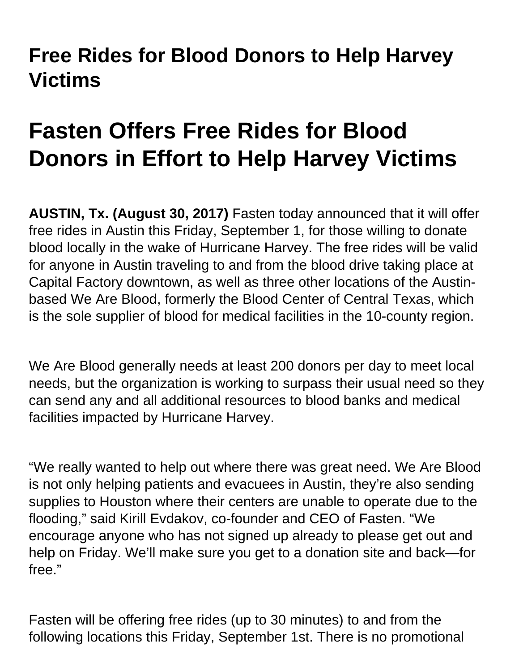## **Free Rides for Blood Donors to Help Harvey Victims**

## **Fasten Offers Free Rides for Blood Donors in Effort to Help Harvey Victims**

**AUSTIN, Tx. (August 30, 2017)** Fasten today announced that it will offer free rides in Austin this Friday, September 1, for those willing to donate blood locally in the wake of Hurricane Harvey. The free rides will be valid for anyone in Austin traveling to and from the blood drive taking place at Capital Factory downtown, as well as three other locations of the Austinbased We Are Blood, formerly the Blood Center of Central Texas, which is the sole supplier of blood for medical facilities in the 10-county region.

We Are Blood generally needs at least 200 donors per day to meet local needs, but the organization is working to surpass their usual need so they can send any and all additional resources to blood banks and medical facilities impacted by Hurricane Harvey.

"We really wanted to help out where there was great need. We Are Blood is not only helping patients and evacuees in Austin, they're also sending supplies to Houston where their centers are unable to operate due to the flooding," said Kirill Evdakov, co-founder and CEO of Fasten. "We encourage anyone who has not signed up already to please get out and help on Friday. We'll make sure you get to a donation site and back—for free."

Fasten will be offering free rides (up to 30 minutes) to and from the following locations this Friday, September 1st. There is no promotional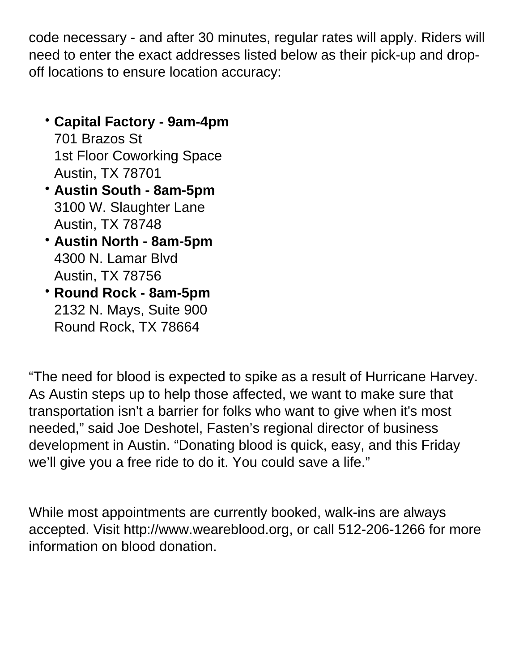code necessary - and after 30 minutes, regular rates will apply. Riders will need to enter the exact addresses listed below as their pick-up and dropoff locations to ensure location accuracy:

- Capital Factory 9am-4pm 701 Brazos St 1st Floor Coworking Space Austin, TX 78701
- Austin South 8am-5pm 3100 W. Slaughter Lane Austin, TX 78748
- Austin North 8am-5pm 4300 N. Lamar Blvd Austin, TX 78756
- Round Rock 8am-5pm 2132 N. Mays, Suite 900 Round Rock, TX 78664

"The need for blood is expected to spike as a result of Hurricane Harvey. As Austin steps up to help those affected, we want to make sure that transportation isn't a barrier for folks who want to give when it's most needed," said Joe Deshotel, Fasten's regional director of business development in Austin. "Donating blood is quick, easy, and this Friday we'll give you a free ride to do it. You could save a life."

While most appointments are currently booked, walk-ins are always accepted. Visit [http://www.weareblood.org](http://www.weareblood.org/), or call 512-206-1266 for more information on blood donation.